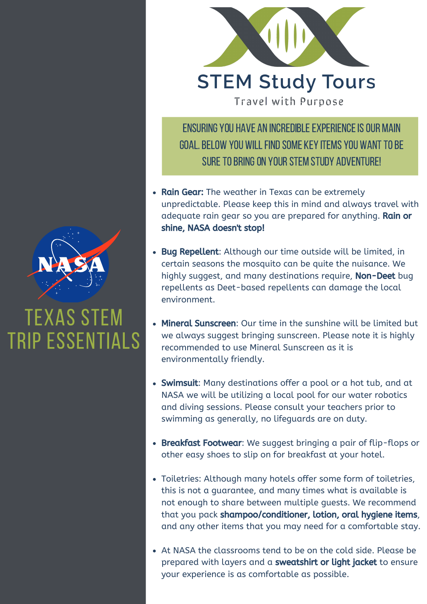

## TEXAS STEM TRIP ESSENTIALS



Travel with Purpose

ENSURING YOU HAVE AN INCREDIBLE EXPERIENCE IS OUR MAIN GOAL. BELOW YOU WILL FIND SOME KEY ITEMS YOU WANT TO BE SURE TO BRING ON YOUR STEM STUDY ADVENTURE!

- Rain Gear: The weather in Texas can be extremely unpredictable. Please keep this in mind and always travel with adequate rain gear so you are prepared for anything. Rain or shine, NASA doesn't stop!
- Bug Repellent: Although our time outside will be limited, in certain seasons the mosquito can be quite the nuisance. We highly suggest, and many destinations require, Non-Deet bug repellents as Deet-based repellents can damage the local environment.
- we always suggest bringing sunscreen. Please note it is highly • Mineral Sunscreen: Our time in the sunshine will be limited but recommended to use Mineral Sunscreen as it is environmentally friendly.
- Swimsuit: Many destinations offer a pool or a hot tub, and at NASA we will be utilizing a local pool for our water robotics and diving sessions. Please consult your teachers prior to swimming as generally, no lifeguards are on duty.
- Breakfast Footwear: We suggest bringing a pair of flip-flops or other easy shoes to slip on for breakfast at your hotel.
- Toiletries: Although many hotels offer some form of toiletries, this is not a guarantee, and many times what is available is not enough to share between multiple guests. We recommend that you pack shampoo/conditioner, lotion, oral hygiene items, and any other items that you may need for a comfortable stay.
- At NASA the classrooms tend to be on the cold side. Please be prepared with layers and a sweatshirt or light jacket to ensure your experience is as comfortable as possible.